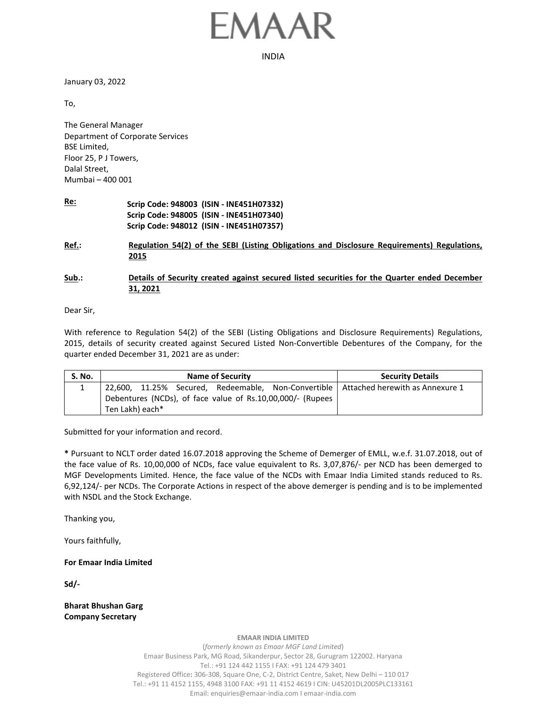## MAAR

INDIA

January 03, 2022

To,

The General Manager Department of Corporate Services BSE Limited, Floor 25, P J Towers, Dalal Street, Mumbai – 400 001

**Re: Scrip Code: 948003 (ISIN - INE451H07332) Scrip Code: 948005 (ISIN - INE451H07340) Scrip Code: 948012 (ISIN - INE451H07357)**

**Ref.: Regulation 54(2) of the SEBI (Listing Obligations and Disclosure Requirements) Regulations, 2015**

**Sub.: Details of Security created against secured listed securities for the Quarter ended December 31, 2021**

Dear Sir,

With reference to Regulation 54(2) of the SEBI (Listing Obligations and Disclosure Requirements) Regulations, 2015, details of security created against Secured Listed Non-Convertible Debentures of the Company, for the quarter ended December 31, 2021 are as under:

| <b>S. No.</b> | <b>Name of Security</b>                                                               | <b>Security Details</b> |  |  |
|---------------|---------------------------------------------------------------------------------------|-------------------------|--|--|
|               | 22,600, 11.25% Secured, Redeemable, Non-Convertible   Attached herewith as Annexure 1 |                         |  |  |
|               | Debentures (NCDs), of face value of Rs.10,00,000/- (Rupees                            |                         |  |  |
|               | Ten Lakh) each*                                                                       |                         |  |  |

Submitted for your information and record.

**\*** Pursuant to NCLT order dated 16.07.2018 approving the Scheme of Demerger of EMLL, w.e.f. 31.07.2018, out of the face value of Rs. 10,00,000 of NCDs, face value equivalent to Rs. 3,07,876/- per NCD has been demerged to MGF Developments Limited. Hence, the face value of the NCDs with Emaar India Limited stands reduced to Rs. 6,92,124/- per NCDs. The Corporate Actions in respect of the above demerger is pending and is to be implemented with NSDL and the Stock Exchange.

Thanking you,

Yours faithfully,

**For Emaar India Limited**

**Sd/-**

**Bharat Bhushan Garg Company Secretary**

**EMAAR INDIA LIMITED**

(*formerly known as Emaar MGF Land Limited*) Emaar Business Park, MG Road, Sikanderpur, Sector 28, Gurugram 122002. Haryana Tel.: +91 124 442 1155 I FAX: +91 124 479 3401 Registered Office**:** 306-308, Square One, C-2, District Centre, Saket, New Delhi – 110 017 Tel.: +91 11 4152 1155, 4948 3100 FAX: +91 11 4152 4619 I CIN: U45201DL2005PLC133161 Email: enquiries@emaar-india.com I emaar-india.com